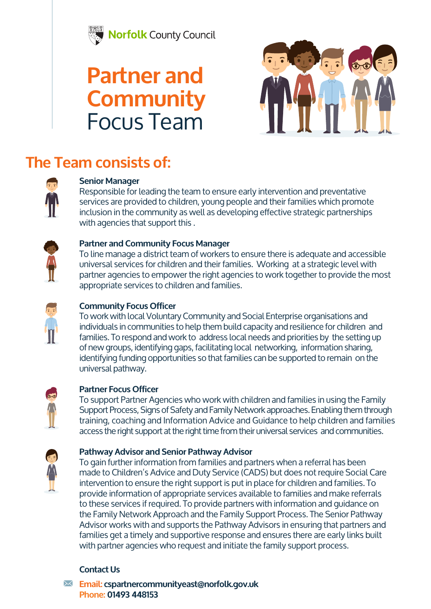

## **Partner and Community**  Focus Team



### **The Team consists of:**



#### **Senior Manager**

Responsible for leading the team to ensure early intervention and preventative services are provided to children, young people and their families which promote inclusion in the community as well as developing effective strategic partnerships with agencies that support this .



#### **Partner and Community Focus Manager**

To line manage a district team of workers to ensure there is adequate and accessible universal services for children and their families. Working at a strategic level with partner agencies to empower the right agencies to work together to provide the most appropriate services to children and families.



#### **Community Focus Officer**

To work with local Voluntary Community and Social Enterprise organisations and individuals in communities to help them build capacity and resilience for children and families. To respond and work to address local needs and priorities by the setting up of new groups, identifying gaps, facilitating local networking, information sharing, identifying funding opportunities so that families can be supported to remain on the universal pathway.



#### **Partner Focus Officer**

To support Partner Agencies who work with children and families in using the Family Support Process, Signs of Safety and Family Network approaches. Enabling them through training, coaching and Information Advice and Guidance to help children and families access the right support at the right time from their universal services and communities.



#### **Pathway Advisor and Senior Pathway Advisor**

To gain further information from families and partners when a referral has been made to Children's Advice and Duty Service (CADS) but does not require Social Care intervention to ensure the right support is put in place for children and families. To provide information of appropriate services available to families and make referrals to these services if required. To provide partners with information and guidance on the Family Network Approach and the Family Support Process. The Senior Pathway Advisor works with and supports the Pathway Advisors in ensuring that partners and families get a timely and supportive response and ensures there are early links built with partner agencies who request and initiate the family support process.

#### **Contact Us**

**Email: cspartnercommunityeast@norfolk.gov.uk Phone: 01493 448153**